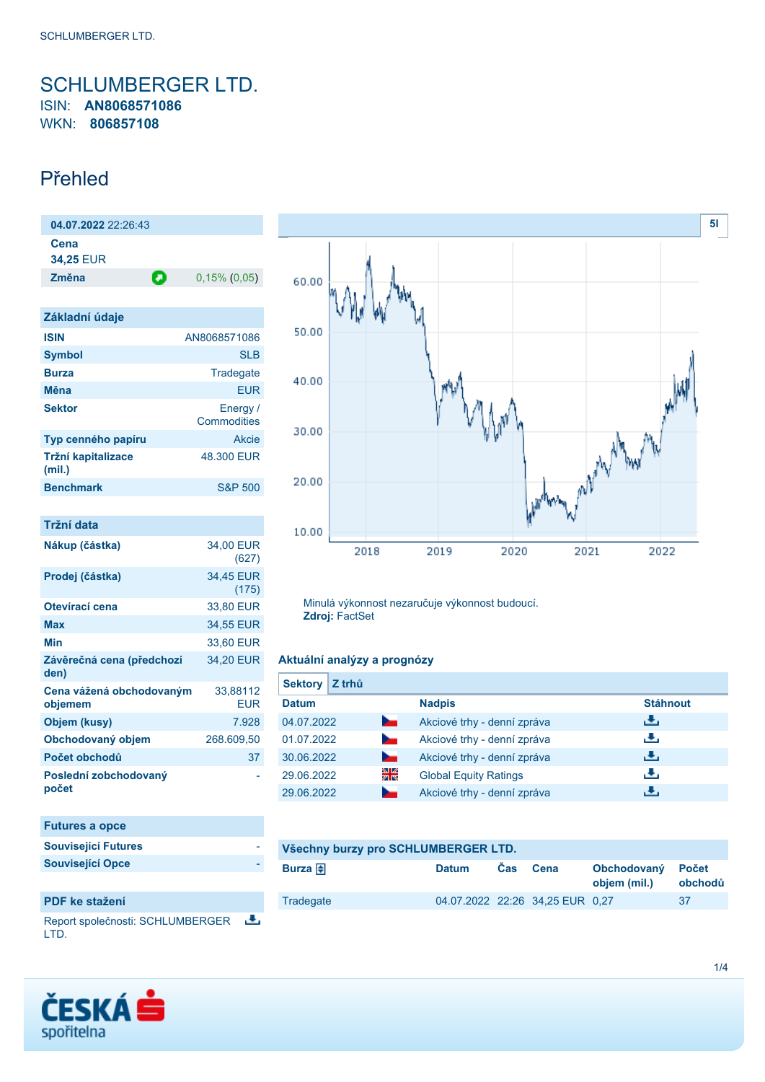## <span id="page-0-0"></span>SCHLUMBERGER LTD. ISIN: **AN8068571086** WKN: **806857108**

## Přehled

| 04.07.2022 22:26:43          |   |                         |
|------------------------------|---|-------------------------|
| Cena<br><b>34,25 EUR</b>     |   |                         |
| Změna                        | Ο | $0,15\%$ (0,05)         |
|                              |   |                         |
| Základní údaje               |   |                         |
| <b>ISIN</b>                  |   | AN8068571086            |
| <b>Symbol</b>                |   | <b>SLB</b>              |
| <b>Burza</b>                 |   | Tradegate               |
| Měna                         |   | <b>FUR</b>              |
| <b>Sektor</b>                |   | Energy /<br>Commodities |
| Typ cenného papíru           |   | <b>Akcie</b>            |
| Tržní kapitalizace<br>(mil.) |   | 48.300 EUR              |
| <b>Benchmark</b>             |   | <b>S&amp;P 500</b>      |
|                              |   |                         |

| Tržní data                          |                        |
|-------------------------------------|------------------------|
| Nákup (částka)                      | 34,00 EUR<br>(627)     |
| Prodej (částka)                     | 34,45 EUR<br>(175)     |
| Otevírací cena                      | 33,80 EUR              |
| Max                                 | 34,55 EUR              |
| Min                                 | 33,60 EUR              |
| Závěrečná cena (předchozí<br>den)   | 34,20 EUR              |
| Cena vážená obchodovaným<br>objemem | 33,88112<br><b>EUR</b> |
| Objem (kusy)                        | 7.928                  |
| Obchodovaný objem                   | 268.609,50             |
| Počet obchodů                       | 37                     |
| Poslední zobchodovaný<br>počet      |                        |

| <b>Futures a opce</b>      |  |
|----------------------------|--|
| <b>Související Futures</b> |  |
| <b>Související Opce</b>    |  |

### **PDF ke stažení**

舌 Report společnosti: SCHLUMBERGER LTD.





Minulá výkonnost nezaručuje výkonnost budoucí. **Zdroj:** FactSet

### **Aktuální analýzy a prognózy**

| <b>Sektory</b> | Z trhů |                              |                 |
|----------------|--------|------------------------------|-----------------|
| <b>Datum</b>   |        | <b>Nadpis</b>                | <b>Stáhnout</b> |
| 04.07.2022     | $\sim$ | Akciové trhy - denní zpráva  | رنان            |
| 01.07.2022     | $\sim$ | Akciové trhy - denní zpráva  | رائي            |
| 30.06.2022     | b.     | Akciové trhy - denní zpráva  | 出               |
| 29.06.2022     | 읡      | <b>Global Equity Ratings</b> | رالى            |
| 29.06.2022     |        | Akciové trhy - denní zpráva  | υЧ,             |

| Všechny burzy pro SCHLUMBERGER LTD. |              |            |                                 |                             |                         |
|-------------------------------------|--------------|------------|---------------------------------|-----------------------------|-------------------------|
| Burza $\bigoplus$                   | <b>Datum</b> | <b>Cas</b> | Cena                            | Obchodovaný<br>objem (mil.) | <b>Počet</b><br>obchodů |
| Tradegate                           |              |            | 04.07.2022 22:26 34.25 EUR 0.27 |                             | 37                      |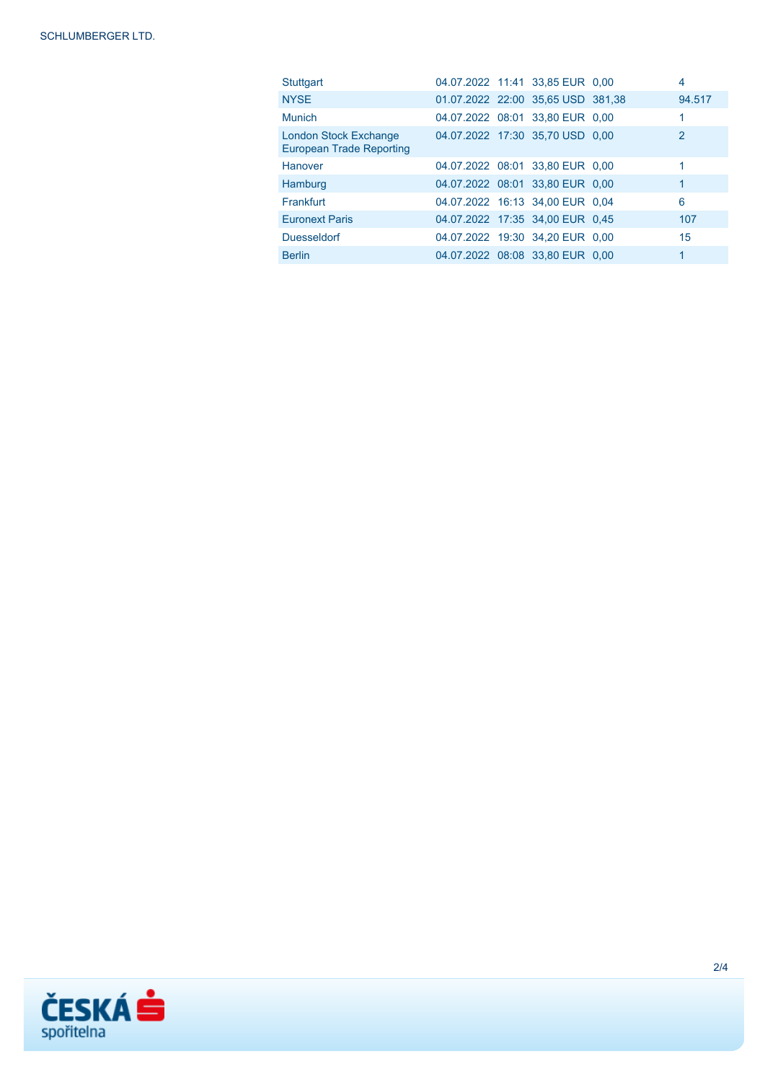| Stuttgart                                                       |                                   | 04.07.2022 11:41 33,85 EUR 0,00 | 4            |
|-----------------------------------------------------------------|-----------------------------------|---------------------------------|--------------|
| <b>NYSE</b>                                                     | 01.07.2022 22:00 35,65 USD 381,38 |                                 | 94.517       |
| Munich                                                          | 04.07.2022 08:01 33,80 EUR 0,00   |                                 |              |
| <b>London Stock Exchange</b><br><b>European Trade Reporting</b> | 04.07.2022 17:30 35,70 USD 0.00   |                                 | $\mathbf{2}$ |
| Hanover                                                         |                                   | 04.07.2022 08:01 33,80 EUR 0,00 |              |
| Hamburg                                                         | 04.07.2022 08:01 33,80 EUR 0,00   |                                 | 1            |
| Frankfurt                                                       | 04.07.2022 16:13 34,00 EUR 0,04   |                                 | 6            |
| <b>Euronext Paris</b>                                           | 04.07.2022 17:35 34,00 EUR 0,45   |                                 | 107          |
| <b>Duesseldorf</b>                                              | 04.07.2022 19:30 34,20 EUR 0,00   |                                 | 15           |
| <b>Berlin</b>                                                   |                                   | 04.07.2022 08:08 33.80 EUR 0.00 |              |

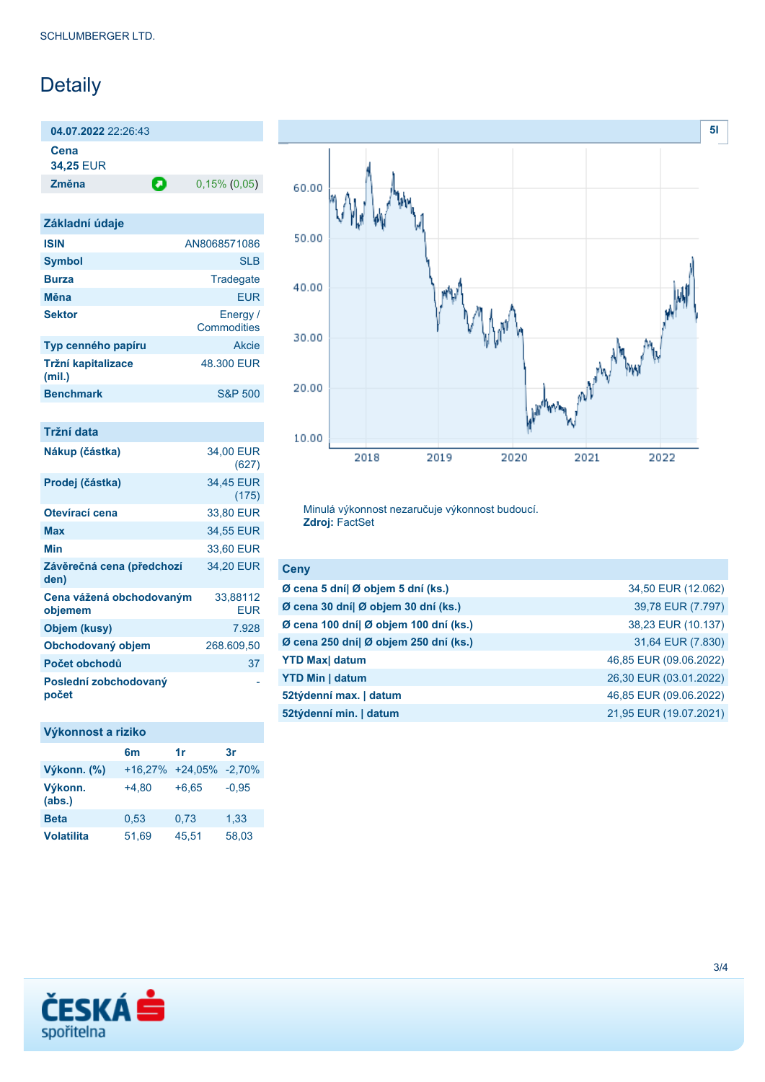# Detaily

**04.07.2022** 22:26:43

**Cena**

**34,25** EUR

**Změna** 0,15% (0,05)

| Základní údaje               |                         |
|------------------------------|-------------------------|
| <b>ISIN</b>                  | AN8068571086            |
| <b>Symbol</b>                | SIB                     |
| <b>Burza</b>                 | Tradegate               |
| Měna                         | <b>FUR</b>              |
| <b>Sektor</b>                | Energy /<br>Commodities |
| Typ cenného papíru           | Akcie                   |
| Tržní kapitalizace<br>(mil.) | 48.300 EUR              |
| <b>Benchmark</b>             | <b>S&amp;P 500</b>      |
|                              |                         |

| Tržní data                          |                        |
|-------------------------------------|------------------------|
| Nákup (částka)                      | 34,00 EUR<br>(627)     |
| Prodej (částka)                     | 34,45 EUR<br>(175)     |
| Otevírací cena                      | 33,80 EUR              |
| Max                                 | 34,55 EUR              |
| Min                                 | 33,60 EUR              |
| Závěrečná cena (předchozí<br>den)   | 34.20 EUR              |
| Cena vážená obchodovaným<br>objemem | 33,88112<br><b>EUR</b> |
| Objem (kusy)                        | 7.928                  |
| Obchodovaný objem                   | 268.609,50             |
| Počet obchodů                       | 37                     |
| Poslední zobchodovaný<br>počet      |                        |

### **Výkonnost a riziko**

|                   | 6m        | 1r        | 3r       |
|-------------------|-----------|-----------|----------|
| Výkonn. (%)       | $+16,27%$ | $+24,05%$ | $-2,70%$ |
| Výkonn.<br>(abs.) | $+4.80$   | $+6,65$   | $-0.95$  |
| <b>Beta</b>       | 0,53      | 0,73      | 1,33     |
| <b>Volatilita</b> | 51,69     | 45,51     | 58,03    |



Minulá výkonnost nezaručuje výkonnost budoucí. **Zdroj:** FactSet

| <b>Ceny</b>                           |                        |
|---------------------------------------|------------------------|
| Ø cena 5 dní  Ø objem 5 dní (ks.)     | 34,50 EUR (12.062)     |
| Ø cena 30 dní  Ø objem 30 dní (ks.)   | 39,78 EUR (7.797)      |
| Ø cena 100 dní  Ø objem 100 dní (ks.) | 38,23 EUR (10.137)     |
| Ø cena 250 dní  Ø objem 250 dní (ks.) | 31,64 EUR (7.830)      |
| <b>YTD Max</b> datum                  | 46,85 EUR (09.06.2022) |
| <b>YTD Min   datum</b>                | 26,30 EUR (03.01.2022) |
| 52týdenní max.   datum                | 46,85 EUR (09.06.2022) |
| 52týdenní min.   datum                | 21,95 EUR (19.07.2021) |